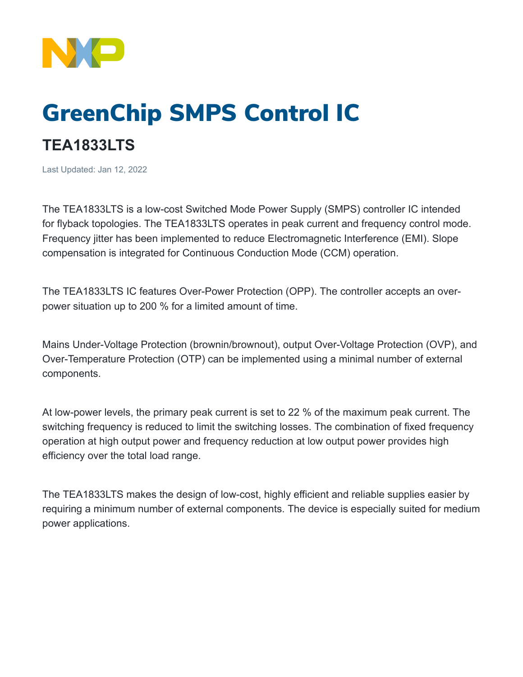

## GreenChip SMPS Control IC

## **TEA1833LTS**

Last Updated: Jan 12, 2022

The TEA1833LTS is a low-cost Switched Mode Power Supply (SMPS) controller IC intended for flyback topologies. The TEA1833LTS operates in peak current and frequency control mode. Frequency jitter has been implemented to reduce Electromagnetic Interference (EMI). Slope compensation is integrated for Continuous Conduction Mode (CCM) operation.

The TEA1833LTS IC features Over-Power Protection (OPP). The controller accepts an overpower situation up to 200 % for a limited amount of time.

Mains Under-Voltage Protection (brownin/brownout), output Over-Voltage Protection (OVP), and Over-Temperature Protection (OTP) can be implemented using a minimal number of external components.

At low-power levels, the primary peak current is set to 22 % of the maximum peak current. The switching frequency is reduced to limit the switching losses. The combination of fixed frequency operation at high output power and frequency reduction at low output power provides high efficiency over the total load range.

The TEA1833LTS makes the design of low-cost, highly efficient and reliable supplies easier by requiring a minimum number of external components. The device is especially suited for medium power applications.